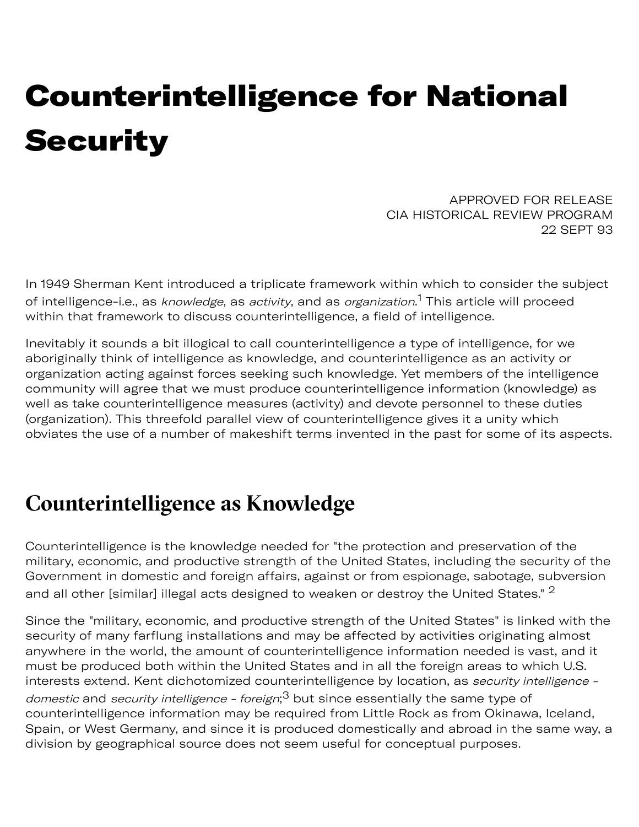## Counterintelligence for National **Security**

APPROVED FOR RELEASE CIA HISTORICAL REVIEW PROGRAM 22 SEPT 93

In 1949 Sherman Kent introduced a triplicate framework within which to consider the subject of intelligence-i.e., as *knowledge*, as *activity*, and as *organization*.<sup>[1](#page-3-0)</sup> This article will proceed within that framework to discuss counterintelligence, a field of intelligence.

Inevitably it sounds a bit illogical to call counterintelligence a type of intelligence, for we aboriginally think of intelligence as knowledge, and counterintelligence as an activity or organization acting against forces seeking such knowledge. Yet members of the intelligence community will agree that we must produce counterintelligence information (knowledge) as well as take counterintelligence measures (activity) and devote personnel to these duties (organization). This threefold parallel view of counterintelligence gives it a unity which obviates the use of a number of makeshift terms invented in the past for some of its aspects.

## **Counterintelligence as Knowledge**

Counterintelligence is the knowledge needed for "the protection and preservation of the military, economic, and productive strength of the United States, including the security of the Government in domestic and foreign affairs, against or from espionage, sabotage, subversion and all other [similar] illegal acts designed to weaken or destroy the United States." <sup>[2](#page-3-1)</sup>

Since the "military, economic, and productive strength of the United States" is linked with the security of many farflung installations and may be affected by activities originating almost anywhere in the world, the amount of counterintelligence information needed is vast, and it must be produced both within the United States and in all the foreign areas to which U.S. interests extend. Kent dichotomized counterintelligence by location, as security intelligence *domestic* and *security intelligence - foreign*;<sup>[3](#page-3-2)</sup> but since essentially the same type of counterintelligence information may be required from Little Rock as from Okinawa, Iceland, Spain, or West Germany, and since it is produced domestically and abroad in the same way, a division by geographical source does not seem useful for conceptual purposes.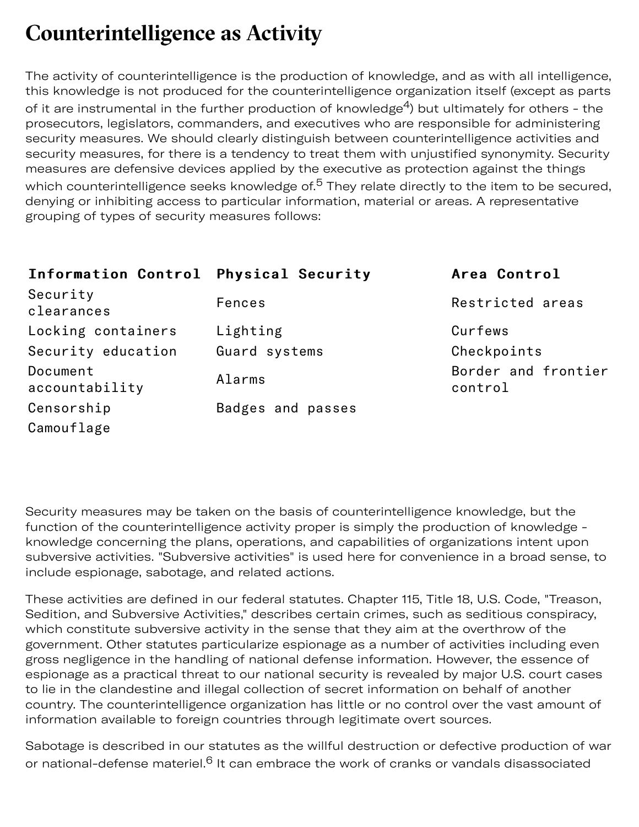## **Counterintelligence as Activit**

The activity of counterintelligence is the production of knowledge, and as with all intelligence, this knowledge is not produced for the counterintelligence organization itself (except as parts of it are instrumental in the further production of knowledge<sup>4</sup>) but ultimately for others - the prosecutors, legislators, commanders, and executives who are responsible for administering security measures. We should clearly distinguish between counterintelligence activities and security measures, for there is a tendency to treat them with unjustified synonymity. Security measures are defensive devices applied by the executive as protection against the things which counterintelligence seeks knowledge of.<sup>[5](#page-4-0)</sup> They relate directly to the item to be secured, denying or inhibiting access to particular information, material or areas. A representative grouping of types of security measures follows:

| Information Control Physical Security |                   | Area Control                   |
|---------------------------------------|-------------------|--------------------------------|
| Security<br>clearances                | Fences            | Restricted areas               |
| Locking containers                    | Lighting          | Curfews                        |
| Security education                    | Guard systems     | Checkpoints                    |
| Document<br>accountability            | Alarms            | Border and frontier<br>control |
| Censorship                            | Badges and passes |                                |
| Camouflage                            |                   |                                |

Security measures may be taken on the basis of counterintelligence knowledge, but the function of the counterintelligence activity proper is simply the production of knowledge knowledge concerning the plans, operations, and capabilities of organizations intent upon subversive activities. "Subversive activities" is used here for convenience in a broad sense, to include espionage, sabotage, and related actions.

These activities are defined in our federal statutes. Chapter 115, Title 18, U.S. Code, "Treason, Sedition, and Subversive Activities," describes certain crimes, such as seditious conspiracy, which constitute subversive activity in the sense that they aim at the overthrow of the government. Other statutes particularize espionage as a number of activities including even gross negligence in the handling of national defense information. However, the essence of espionage as a practical threat to our national security is revealed by major U.S. court cases to lie in the clandestine and illegal collection of secret information on behalf of another country. The counterintelligence organization has little or no control over the vast amount of information available to foreign countries through legitimate overt sources.

Sabotage is described in our statutes as the willful destruction or defective production of war or national-defense materiel.<sup>6</sup> It can embrace the work of cranks or vandals disassociated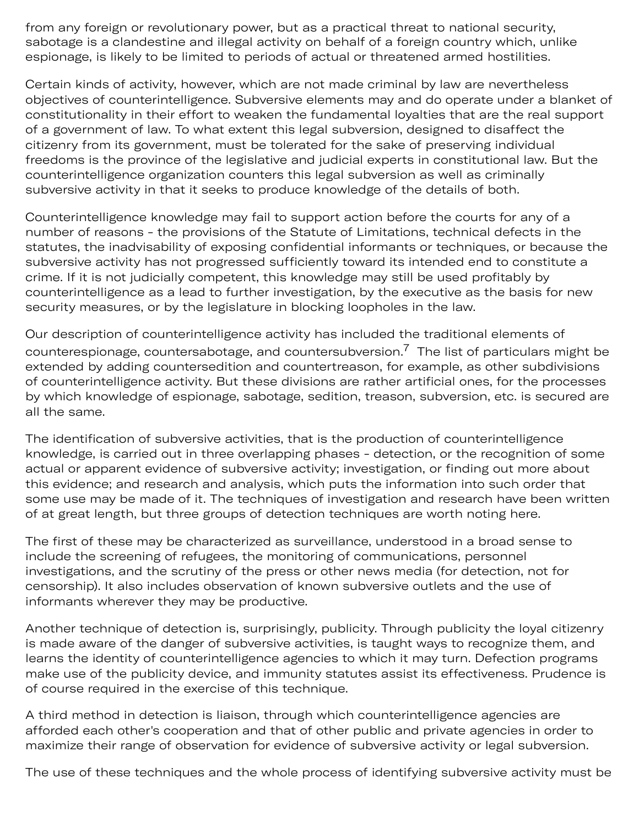from any foreign or revolutionary power, but as a practical threat to national security, sabotage is a clandestine and illegal activity on behalf of a foreign country which, unlike espionage, is likely to be limited to periods of actual or threatened armed hostilities.

Certain kinds of activity, however, which are not made criminal by law are nevertheless objectives of counterintelligence. Subversive elements may and do operate under a blanket of constitutionality in their effort to weaken the fundamental loyalties that are the real support of a government of law. To what extent this legal subversion, designed to disaffect the citizenry from its government, must be tolerated for the sake of preserving individual freedoms is the province of the legislative and judicial experts in constitutional law. But the counterintelligence organization counters this legal subversion as well as criminally subversive activity in that it seeks to produce knowledge of the details of both.

Counterintelligence knowledge may fail to support action before the courts for any of a number of reasons - the provisions of the Statute of Limitations, technical defects in the statutes, the inadvisability of exposing confidential informants or techniques, or because the subversive activity has not progressed sufficiently toward its intended end to constitute a crime. If it is not judicially competent, this knowledge may still be used profitably by counterintelligence as a lead to further investigation, by the executive as the basis for new security measures, or by the legislature in blocking loopholes in the law.

Our description of counterintelligence activity has included the traditional elements of counterespionage, countersabotage, and countersubversion.<sup>[7](#page-4-2)</sup> The list of particulars might be extended by adding countersedition and countertreason, for example, as other subdivisions of counterintelligence activity. But these divisions are rather artificial ones, for the processes by which knowledge of espionage, sabotage, sedition, treason, subversion, etc. is secured are all the same.

The identification of subversive activities, that is the production of counterintelligence knowledge, is carried out in three overlapping phases - detection, or the recognition of some actual or apparent evidence of subversive activity; investigation, or finding out more about this evidence; and research and analysis, which puts the information into such order that some use may be made of it. The techniques of investigation and research have been written of at great length, but three groups of detection techniques are worth noting here.

The first of these may be characterized as surveillance, understood in a broad sense to include the screening of refugees, the monitoring of communications, personnel investigations, and the scrutiny of the press or other news media (for detection, not for censorship). It also includes observation of known subversive outlets and the use of informants wherever they may be productive.

Another technique of detection is, surprisingly, publicity. Through publicity the loyal citizenry is made aware of the danger of subversive activities, is taught ways to recognize them, and learns the identity of counterintelligence agencies to which it may turn. Defection programs make use of the publicity device, and immunity statutes assist its effectiveness. Prudence is of course required in the exercise of this technique.

A third method in detection is liaison, through which counterintelligence agencies are afforded each other's cooperation and that of other public and private agencies in order to maximize their range of observation for evidence of subversive activity or legal subversion.

The use of these techniques and the whole process of identifying subversive activity must be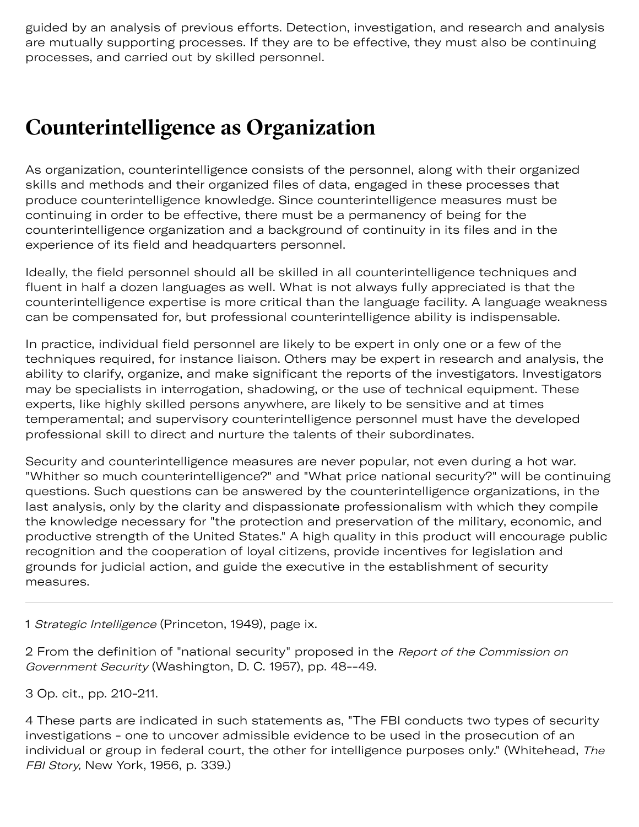guided by an analysis of previous efforts. Detection, investigation, and research and analysis are mutually supporting processes. If they are to be effective, they must also be continuing processes, and carried out by skilled personnel.

## **Counterintelligence as Organization**

As organization, counterintelligence consists of the personnel, along with their organized skills and methods and their organized files of data, engaged in these processes that produce counterintelligence knowledge. Since counterintelligence measures must be continuing in order to be effective, there must be a permanency of being for the counterintelligence organization and a background of continuity in its files and in the experience of its field and headquarters personnel.

Ideally, the field personnel should all be skilled in all counterintelligence techniques and fluent in half a dozen languages as well. What is not always fully appreciated is that the counterintelligence expertise is more critical than the language facility. A language weakness can be compensated for, but professional counterintelligence ability is indispensable.

In practice, individual field personnel are likely to be expert in only one or a few of the techniques required, for instance liaison. Others may be expert in research and analysis, the ability to clarify, organize, and make significant the reports of the investigators. Investigators may be specialists in interrogation, shadowing, or the use of technical equipment. These experts, like highly skilled persons anywhere, are likely to be sensitive and at times temperamental; and supervisory counterintelligence personnel must have the developed professional skill to direct and nurture the talents of their subordinates.

Security and counterintelligence measures are never popular, not even during a hot war. "Whither so much counterintelligence?" and "What price national security?" will be continuing questions. Such questions can be answered by the counterintelligence organizations, in the last analysis, only by the clarity and dispassionate professionalism with which they compile the knowledge necessary for "the protection and preservation of the military, economic, and productive strength of the United States." A high quality in this product will encourage public recognition and the cooperation of loyal citizens, provide incentives for legislation and grounds for judicial action, and guide the executive in the establishment of security measures.

<span id="page-3-0"></span>1 Strategic Intelligence (Princeton, 1949), page ix.

<span id="page-3-1"></span>2 From the definition of "national security" proposed in the Report of the Commission on Government Security (Washington, D. C. 1957), pp. 48--49.

<span id="page-3-2"></span>3 Op. cit., pp. 210-211.

<span id="page-3-3"></span>4 These parts are indicated in such statements as, "The FBI conducts two types of security investigations - one to uncover admissible evidence to be used in the prosecution of an individual or group in federal court, the other for intelligence purposes only." (Whitehead, The FBI Story, New York, 1956, p. 339.)